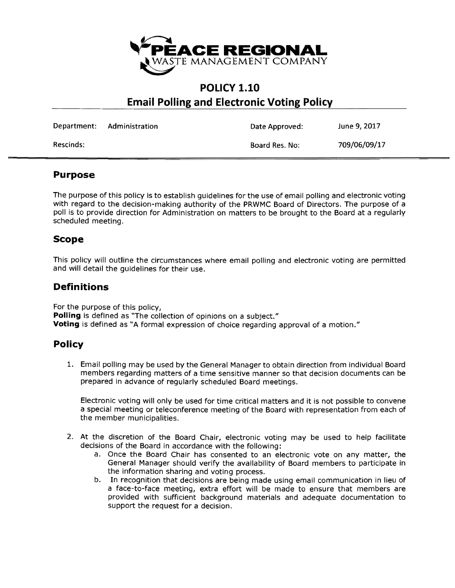

# **POLICY 1.10 Email Polling and Electronic Voting Policy**

|           | Department: Administration | Date Approved: | June 9, 2017 |
|-----------|----------------------------|----------------|--------------|
| Rescinds: |                            | Board Res. No: | 709/06/09/17 |

### **Purpose**

The purpose of this policy is to establish guidelines for the use of email polling and electronic voting with regard to the decision-making authority of the PRWMC Board of Directors. The purpose of a poll is to provide direction for Administration on matters to be brought to the Board at a regularly scheduled meeting.

## **Scope**

This policy will outline the circumstances where email polling and electronic voting are permitted and will detail the guidelines for their use.

# **Definitions**

For the purpose of this policy, **Polling** is defined as "The collection of opinions on a subject." **Voting** is defined as "A formal expression of choice regarding approval of a motion."

### **Policy**

1. Email polling may be used by the General Manager to obtain direction from individual Board members regarding matters of a time sensitive manner so that decision documents can be prepared in advance of regularly scheduled Board meetings.

Electronic voting will only be used for time critical matters and it is not possible to convene a special meeting or teleconference meeting of the Board with representation from each of the member municipalities.

- 2. At the discretion of the Board Chair, electronic voting may be used to help facilitate decisions of the Board in accordance with the following:
	- a. Once the Board Chair has consented to an electronic vote on any matter, the General Manager should verify the availability of Board members to participate in the information sharing and voting process.
	- b. In recognition that decisions are being made using email communication in lieu of a face-to-face meeting, extra effort will be made to ensure that members are provided with sufficient background materials and adequate documentation to support the request for a decision.